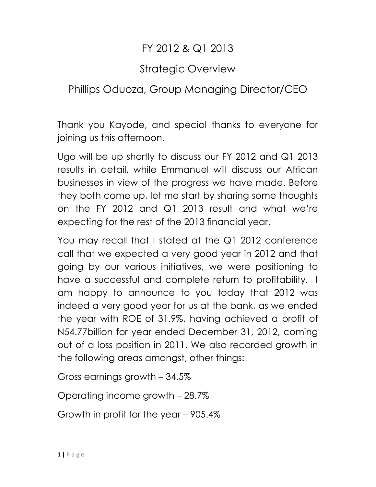# FY 2012 & Q1 2013

# Strategic Overview

# Phillips Oduoza, Group Managing Director/CEO

Thank you Kayode, and special thanks to everyone for joining us this afternoon.

Ugo will be up shortly to discuss our FY 2012 and Q1 2013 results in detail, while Emmanuel will discuss our African businesses in view of the progress we have made. Before they both come up, let me start by sharing some thoughts on the FY 2012 and Q1 2013 result and what we're expecting for the rest of the 2013 financial year.

You may recall that I stated at the Q1 2012 conference call that we expected a very good year in 2012 and that going by our various initiatives, we were positioning to have a successful and complete return to profitability. I am happy to announce to you today that 2012 was indeed a very good year for us at the bank, as we ended the year with ROE of 31.9%, having achieved a profit of N54.77billion for year ended December 31, 2012, coming out of a loss position in 2011. We also recorded growth in the following areas amongst, other things:

Gross earnings growth – 34.5%

Operating income growth – 28.7%

Growth in profit for the year – 905.4%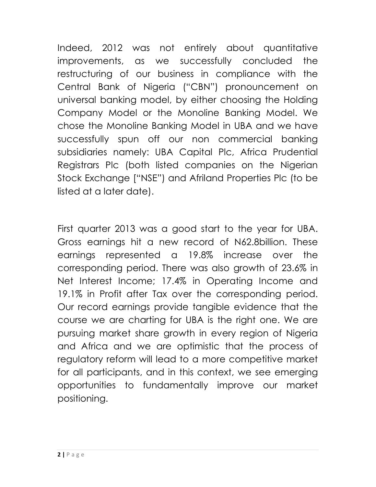Indeed, 2012 was not entirely about quantitative improvements, as we successfully concluded the restructuring of our business in compliance with the Central Bank of Nigeria ("CBN") pronouncement on universal banking model, by either choosing the Holding Company Model or the Monoline Banking Model. We chose the Monoline Banking Model in UBA and we have successfully spun off our non commercial banking subsidiaries namely: UBA Capital Plc, Africa Prudential Registrars Plc (both listed companies on the Nigerian Stock Exchange ["NSE") and Afriland Properties Plc (to be listed at a later date).

First quarter 2013 was a good start to the year for UBA. Gross earnings hit a new record of N62.8billion. These earnings represented a 19.8% increase over the corresponding period. There was also growth of 23.6% in Net Interest Income; 17.4% in Operating Income and 19.1% in Profit after Tax over the corresponding period. Our record earnings provide tangible evidence that the course we are charting for UBA is the right one. We are pursuing market share growth in every region of Nigeria and Africa and we are optimistic that the process of regulatory reform will lead to a more competitive market for all participants, and in this context, we see emerging opportunities to fundamentally improve our market positioning.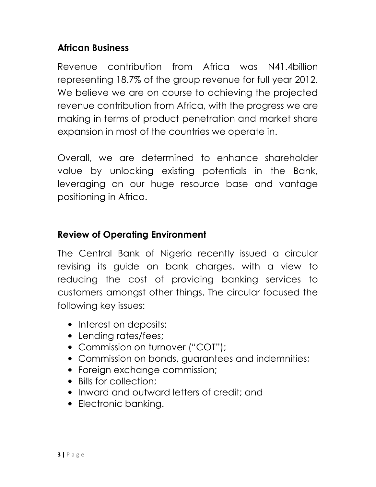#### African Business

Revenue contribution from Africa was N41.4billion representing 18.7% of the group revenue for full year 2012. We believe we are on course to achieving the projected revenue contribution from Africa, with the progress we are making in terms of product penetration and market share expansion in most of the countries we operate in.

Overall, we are determined to enhance shareholder value by unlocking existing potentials in the Bank, leveraging on our huge resource base and vantage positioning in Africa.

#### Review of Operating Environment

The Central Bank of Nigeria recently issued a circular revising its guide on bank charges, with a view to reducing the cost of providing banking services to customers amongst other things. The circular focused the following key issues:

- Interest on deposits;
- Lending rates/fees;
- Commission on turnover ("COT");
- Commission on bonds, guarantees and indemnities;
- Foreign exchange commission;
- Bills for collection:
- Inward and outward letters of credit; and
- Electronic banking.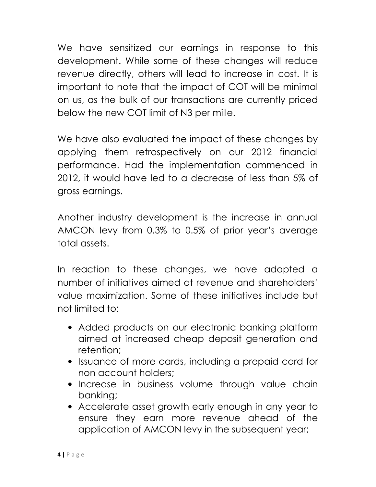We have sensitized our earnings in response to this development. While some of these changes will reduce revenue directly, others will lead to increase in cost. It is important to note that the impact of COT will be minimal on us, as the bulk of our transactions are currently priced below the new COT limit of N3 per mille.

We have also evaluated the impact of these changes by applying them retrospectively on our 2012 financial performance. Had the implementation commenced in 2012, it would have led to a decrease of less than 5% of gross earnings.

Another industry development is the increase in annual AMCON levy from 0.3% to 0.5% of prior year's average total assets.

In reaction to these changes, we have adopted a number of initiatives aimed at revenue and shareholders' value maximization. Some of these initiatives include but not limited to:

- Added products on our electronic banking platform aimed at increased cheap deposit generation and retention;
- Issuance of more cards, including a prepaid card for non account holders;
- Increase in business volume through value chain banking;
- Accelerate asset growth early enough in any year to ensure they earn more revenue ahead of the application of AMCON levy in the subsequent year;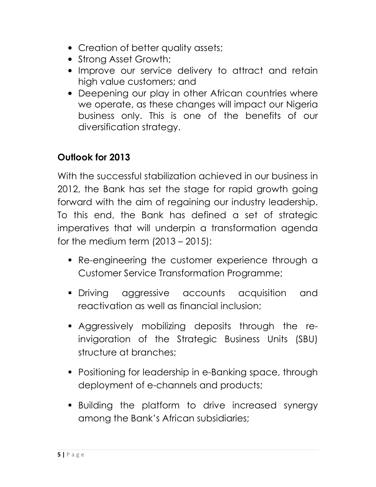- Creation of better quality assets;
- Strong Asset Growth;
- Improve our service delivery to attract and retain high value customers; and
- Deepening our play in other African countries where we operate, as these changes will impact our Nigeria business only. This is one of the benefits of our diversification strategy.

#### Outlook for 2013

With the successful stabilization achieved in our business in 2012, the Bank has set the stage for rapid growth going forward with the aim of regaining our industry leadership. To this end, the Bank has defined a set of strategic imperatives that will underpin a transformation agenda for the medium term  $(2013 - 2015)$ :

- Re-engineering the customer experience through a Customer Service Transformation Programme;
- Driving aggressive accounts acquisition and reactivation as well as financial inclusion;
- Aggressively mobilizing deposits through the reinvigoration of the Strategic Business Units (SBU) structure at branches;
- Positioning for leadership in e-Banking space, through deployment of e-channels and products;
- Building the platform to drive increased synergy among the Bank's African subsidiaries;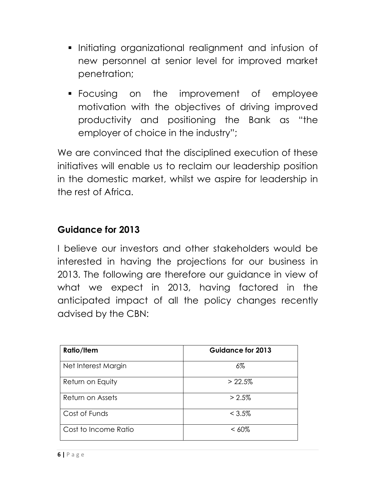- **Initiating organizational realignment and infusion of** new personnel at senior level for improved market penetration;
- Focusing on the improvement of employee motivation with the objectives of driving improved productivity and positioning the Bank as "the employer of choice in the industry";

We are convinced that the disciplined execution of these initiatives will enable us to reclaim our leadership position in the domestic market, whilst we aspire for leadership in the rest of Africa.

#### Guidance for 2013

I believe our investors and other stakeholders would be interested in having the projections for our business in 2013. The following are therefore our guidance in view of what we expect in 2013, having factored in the anticipated impact of all the policy changes recently advised by the CBN:

| <b>Ratio/Item</b>    | Guidance for 2013 |
|----------------------|-------------------|
| Net Interest Margin  | 6%                |
| Return on Equity     | > 22.5%           |
| Return on Assets     | $> 2.5\%$         |
| Cost of Funds        | $< 3.5\%$         |
| Cost to Income Ratio | $< 60\%$          |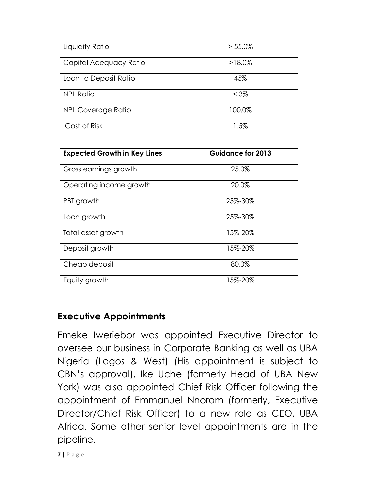| Liquidity Ratio                     | $> 55.0\%$               |
|-------------------------------------|--------------------------|
| Capital Adequacy Ratio              | $>18.0\%$                |
| Loan to Deposit Ratio               | 45%                      |
| <b>NPL Ratio</b>                    | $< 3\%$                  |
| NPL Coverage Ratio                  | 100.0%                   |
| Cost of Risk                        | 1.5%                     |
|                                     |                          |
| <b>Expected Growth in Key Lines</b> | <b>Guidance for 2013</b> |
| Gross earnings growth               | 25.0%                    |
| Operating income growth             | 20.0%                    |
| PBT growth                          | 25%-30%                  |
| Loan growth                         | 25%-30%                  |
| Total asset growth                  | 15%-20%                  |
| Deposit growth                      | 15%-20%                  |
|                                     |                          |
| Cheap deposit                       | 80.0%                    |

### Executive Appointments

Emeke Iweriebor was appointed Executive Director to oversee our business in Corporate Banking as well as UBA Nigeria (Lagos & West) (His appointment is subject to CBN's approval). Ike Uche (formerly Head of UBA New York) was also appointed Chief Risk Officer following the appointment of Emmanuel Nnorom (formerly, Executive Director/Chief Risk Officer) to a new role as CEO, UBA Africa. Some other senior level appointments are in the pipeline.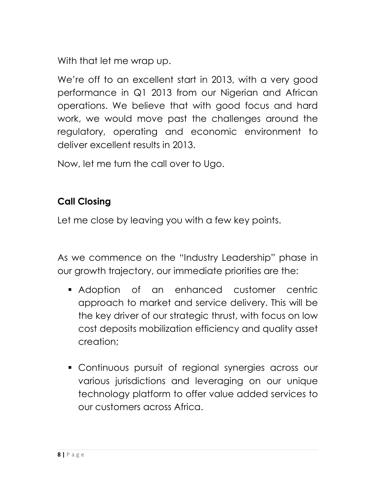With that let me wrap up.

We're off to an excellent start in 2013, with a very good performance in Q1 2013 from our Nigerian and African operations. We believe that with good focus and hard work, we would move past the challenges around the regulatory, operating and economic environment to deliver excellent results in 2013.

Now, let me turn the call over to Ugo.

### Call Closing

Let me close by leaving you with a few key points.

As we commence on the "Industry Leadership" phase in our growth trajectory, our immediate priorities are the:

- Adoption of an enhanced customer centric approach to market and service delivery. This will be the key driver of our strategic thrust, with focus on low cost deposits mobilization efficiency and quality asset creation;
- Continuous pursuit of regional synergies across our various jurisdictions and leveraging on our unique technology platform to offer value added services to our customers across Africa.